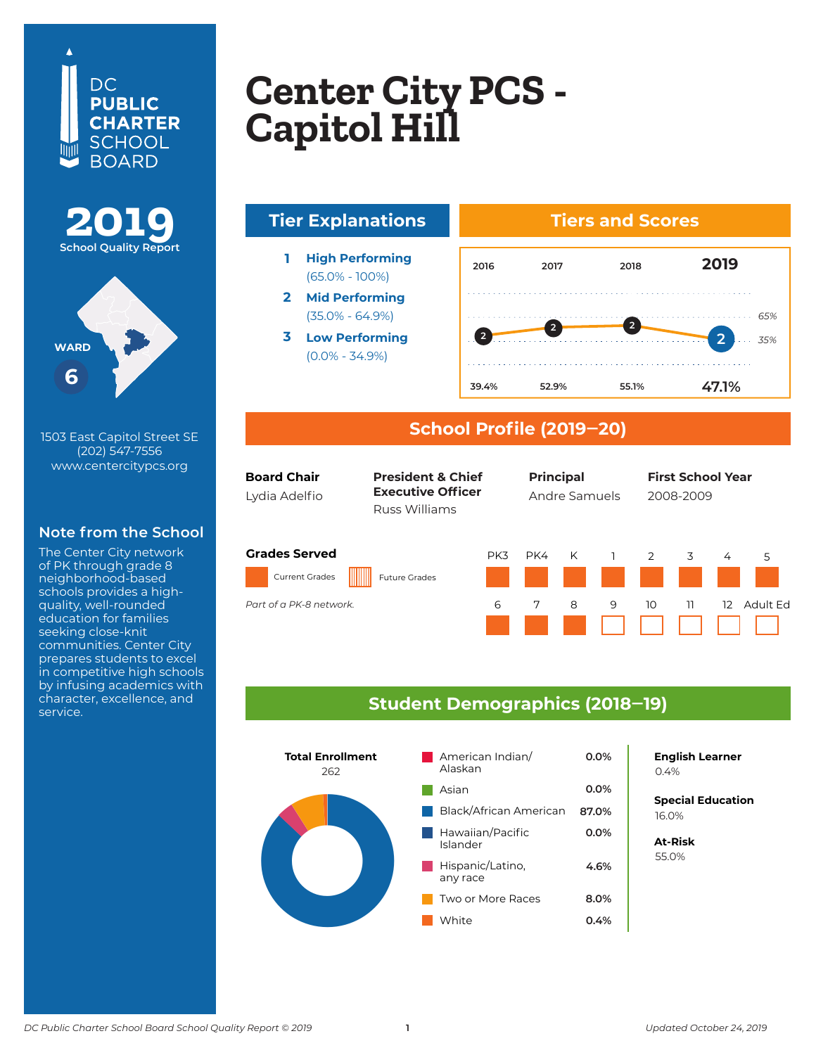





1503 East Capitol Street SE (202) 547-7556 www.centercitypcs.org

## **Note from the School**

The Center City network of PK through grade 8 neighborhood-based schools provides a highquality, well-rounded education for families seeking close-knit communities. Center City prepares students to excel in competitive high schools by infusing academics with character, excellence, and service.

## **Copton City DCS Center CIty PCS<br>Copital Hill Columbia Heights Center City PCS - Capitol Hill**



(65.0% - 100%) **2 Mid Performing**

(35.0% - 64.9%) **3 Low Performing**

(0.0% - 34.9%)



### **School Profile (2019‒20)**

| <b>Board Chair</b><br>Lydia Adelfio           | <b>President &amp; Chief</b><br><b>Executive Officer</b><br>Russ Williams |     | <b>Principal</b><br>Andre Samuels |   |   | <b>First School Year</b><br>2008-2009 |    |                   |          |
|-----------------------------------------------|---------------------------------------------------------------------------|-----|-----------------------------------|---|---|---------------------------------------|----|-------------------|----------|
| <b>Grades Served</b><br><b>Current Grades</b> | <b>Future Grades</b>                                                      | PK3 | PK4                               | K |   | 2                                     | 3  | 4                 | 5        |
| Part of a PK-8 network.                       |                                                                           | 6   | 7                                 | 8 | 9 | 10                                    | 11 | $12 \overline{ }$ | Adult Fd |

#### **Student Demographics (2018‒19)**



## **English Learner**

**Special Education** 6.2% 16.0%

**At-Risk** 37.0% 55.0%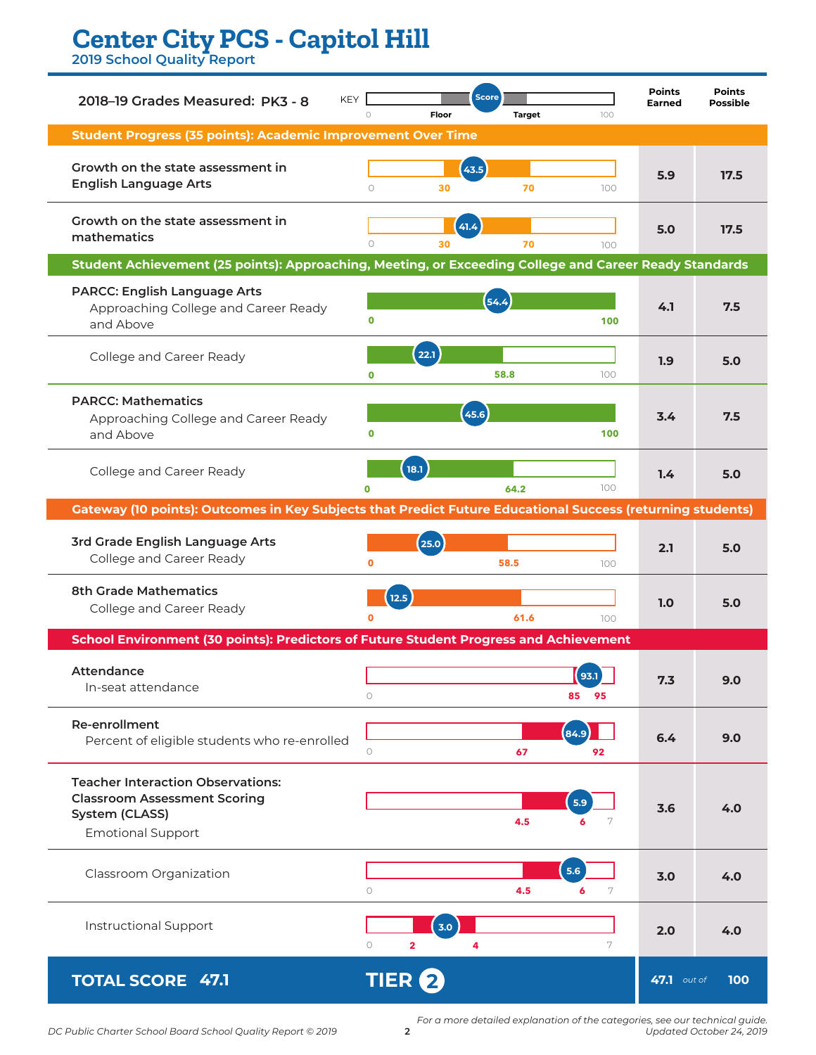# **Center City PCS - Capitol Hill**

**2019 School Quality Report**

| <b>KEY</b><br>2018-19 Grades Measured: PK3 - 8                                                                                | Floor<br>$\bigcirc$              | <b>Score</b><br><b>Target</b> | 100        | <b>Points</b><br><b>Earned</b> | <b>Points</b><br><b>Possible</b> |
|-------------------------------------------------------------------------------------------------------------------------------|----------------------------------|-------------------------------|------------|--------------------------------|----------------------------------|
| Student Progress (35 points): Academic Improvement Over Time                                                                  |                                  |                               |            |                                |                                  |
| Growth on the state assessment in<br><b>English Language Arts</b>                                                             | 43.5<br>$\circ$<br>30            | 70                            | 100        | 5.9                            | 17.5                             |
| Growth on the state assessment in<br>mathematics                                                                              | 41.4<br>$\circ$<br>30            | 70                            | 100        | 5.0                            | 17.5                             |
| Student Achievement (25 points): Approaching, Meeting, or Exceeding College and Career Ready Standards                        |                                  |                               |            |                                |                                  |
| <b>PARCC: English Language Arts</b><br>Approaching College and Career Ready<br>and Above                                      | $\mathbf 0$                      | 54.4                          | 100        | 4.1                            | 7.5                              |
| College and Career Ready                                                                                                      | 22.1<br>$\mathbf 0$              | 58.8                          | 100        | 1.9                            | 5.0                              |
| <b>PARCC: Mathematics</b><br>Approaching College and Career Ready<br>and Above                                                | 45.6<br>$\mathbf 0$              |                               | 100        | 3.4                            | 7.5                              |
| College and Career Ready                                                                                                      | (18.1)<br>$\Omega$               | 64.2                          | 100        | 1.4                            | 5.0                              |
| Gateway (10 points): Outcomes in Key Subjects that Predict Future Educational Success (returning students)                    |                                  |                               |            |                                |                                  |
| 3rd Grade English Language Arts<br>College and Career Ready                                                                   | (25.0)<br>$\mathbf{o}$           | 58.5                          | 100        | 2.1                            | 5.0                              |
| <b>8th Grade Mathematics</b><br>College and Career Ready                                                                      | 12.5                             | 61.6                          | 100        | 1.0                            | 5.0                              |
| School Environment (30 points): Predictors of Future Student Progress and Achievement                                         |                                  |                               |            |                                |                                  |
| Attendance<br>In-seat attendance                                                                                              | $\bigcirc$                       | 85                            | 93.1<br>95 | 7.3                            | 9.0                              |
| Re-enrollment<br>Percent of eligible students who re-enrolled                                                                 | $\circ$                          | (84.9)<br>67                  | 92         | 6.4                            | 9.0                              |
| <b>Teacher Interaction Observations:</b><br><b>Classroom Assessment Scoring</b><br>System (CLASS)<br><b>Emotional Support</b> |                                  | 5.9<br>4.5                    | 7<br>6     | 3.6                            | 4.0                              |
| Classroom Organization                                                                                                        | $\circ$                          | 5.6<br>4.5<br>6               | 7          | 3.0                            | 4.0                              |
| Instructional Support                                                                                                         | 3.0<br>$\circ$<br>$\overline{2}$ | 4                             | 7          | 2.0                            | 4.0                              |
| <b>TOTAL SCORE 47.1</b>                                                                                                       | <b>TIER</b>                      |                               |            | 47.1 out of                    | 100                              |

*For a more detailed explanation of the categories, see our technical guide. Updated October 24, 2019*